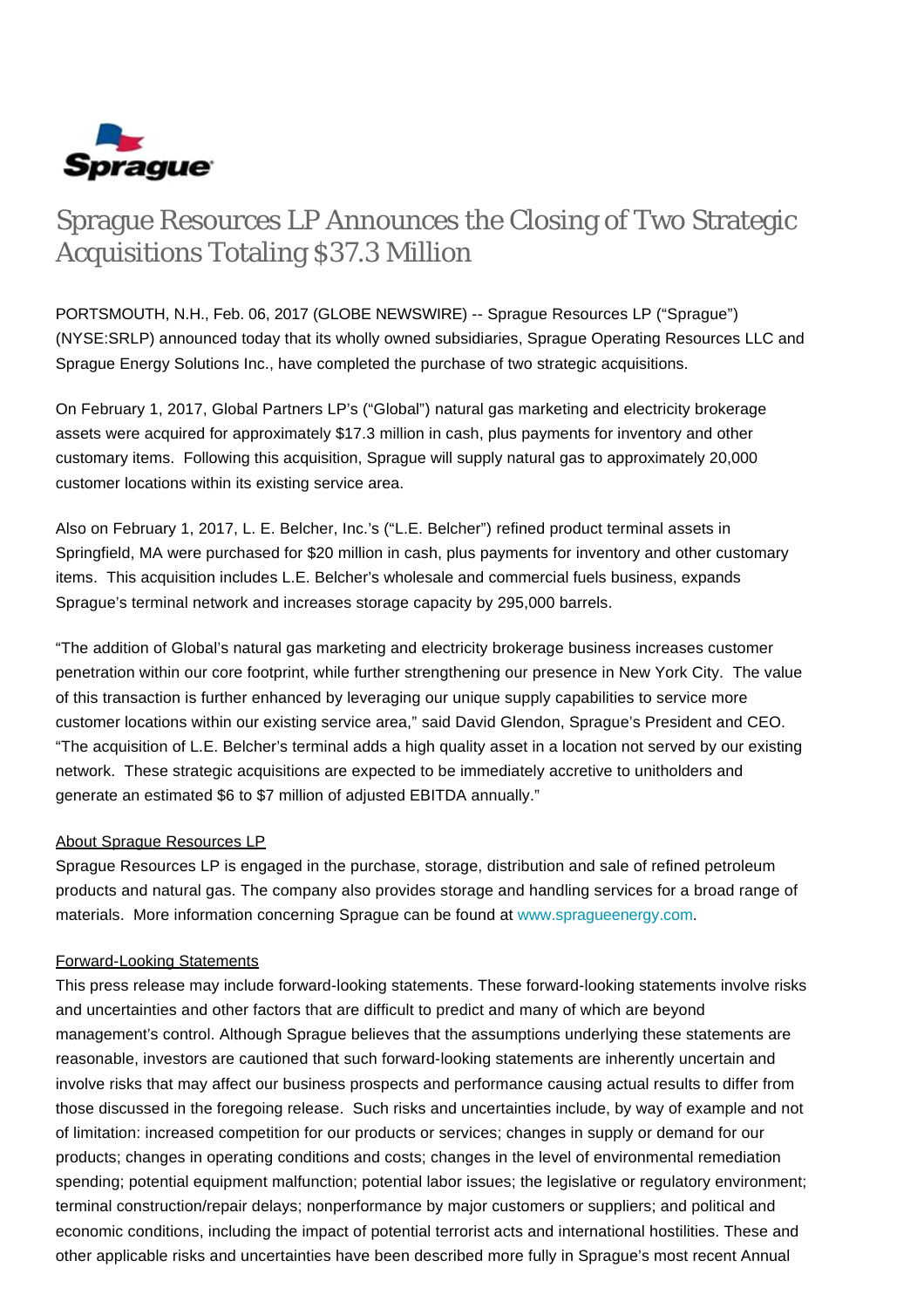

# Sprague Resources LP Announces the Closing of Two Strategic Acquisitions Totaling \$37.3 Million

PORTSMOUTH, N.H., Feb. 06, 2017 (GLOBE NEWSWIRE) -- Sprague Resources LP ("Sprague") (NYSE:SRLP) announced today that its wholly owned subsidiaries, Sprague Operating Resources LLC and Sprague Energy Solutions Inc., have completed the purchase of two strategic acquisitions.

On February 1, 2017, Global Partners LP's ("Global") natural gas marketing and electricity brokerage assets were acquired for approximately \$17.3 million in cash, plus payments for inventory and other customary items. Following this acquisition, Sprague will supply natural gas to approximately 20,000 customer locations within its existing service area.

Also on February 1, 2017, L. E. Belcher, Inc.'s ("L.E. Belcher") refined product terminal assets in Springfield, MA were purchased for \$20 million in cash, plus payments for inventory and other customary items. This acquisition includes L.E. Belcher's wholesale and commercial fuels business, expands Sprague's terminal network and increases storage capacity by 295,000 barrels.

"The addition of Global's natural gas marketing and electricity brokerage business increases customer penetration within our core footprint, while further strengthening our presence in New York City. The value of this transaction is further enhanced by leveraging our unique supply capabilities to service more customer locations within our existing service area," said David Glendon, Sprague's President and CEO. "The acquisition of L.E. Belcher's terminal adds a high quality asset in a location not served by our existing network. These strategic acquisitions are expected to be immediately accretive to unitholders and generate an estimated \$6 to \$7 million of adjusted EBITDA annually."

## About Sprague Resources LP

Sprague Resources LP is engaged in the purchase, storage, distribution and sale of refined petroleum products and natural gas. The company also provides storage and handling services for a broad range of materials. More information concerning Sprague can be found at [www.spragueenergy.com](http://www.spragueenergy.com/).

## Forward-Looking Statements

This press release may include forward-looking statements. These forward-looking statements involve risks and uncertainties and other factors that are difficult to predict and many of which are beyond management's control. Although Sprague believes that the assumptions underlying these statements are reasonable, investors are cautioned that such forward-looking statements are inherently uncertain and involve risks that may affect our business prospects and performance causing actual results to differ from those discussed in the foregoing release. Such risks and uncertainties include, by way of example and not of limitation: increased competition for our products or services; changes in supply or demand for our products; changes in operating conditions and costs; changes in the level of environmental remediation spending; potential equipment malfunction; potential labor issues; the legislative or regulatory environment; terminal construction/repair delays; nonperformance by major customers or suppliers; and political and economic conditions, including the impact of potential terrorist acts and international hostilities. These and other applicable risks and uncertainties have been described more fully in Sprague's most recent Annual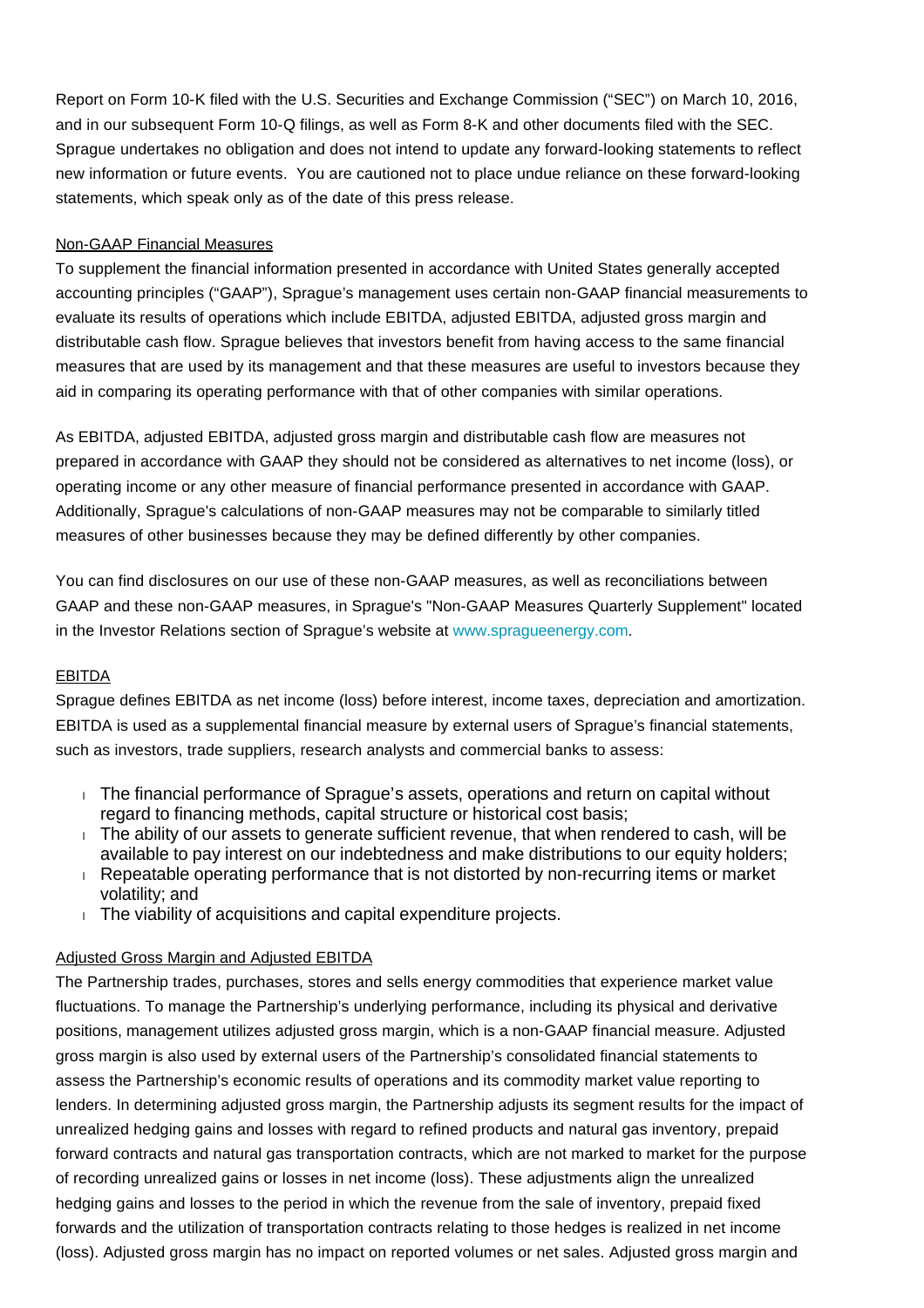Report on Form 10-K filed with the U.S. Securities and Exchange Commission ("SEC") on March 10, 2016, and in our subsequent Form 10-Q filings, as well as Form 8-K and other documents filed with the SEC. Sprague undertakes no obligation and does not intend to update any forward-looking statements to reflect new information or future events. You are cautioned not to place undue reliance on these forward-looking statements, which speak only as of the date of this press release.

## Non-GAAP Financial Measures

To supplement the financial information presented in accordance with United States generally accepted accounting principles ("GAAP"), Sprague's management uses certain non-GAAP financial measurements to evaluate its results of operations which include EBITDA, adjusted EBITDA, adjusted gross margin and distributable cash flow. Sprague believes that investors benefit from having access to the same financial measures that are used by its management and that these measures are useful to investors because they aid in comparing its operating performance with that of other companies with similar operations.

As EBITDA, adjusted EBITDA, adjusted gross margin and distributable cash flow are measures not prepared in accordance with GAAP they should not be considered as alternatives to net income (loss), or operating income or any other measure of financial performance presented in accordance with GAAP. Additionally, Sprague's calculations of non-GAAP measures may not be comparable to similarly titled measures of other businesses because they may be defined differently by other companies.

You can find disclosures on our use of these non-GAAP measures, as well as reconciliations between GAAP and these non-GAAP measures, in Sprague's "Non-GAAP Measures Quarterly Supplement" located in the Investor Relations section of Sprague's website at [www.spragueenergy.com.](http://www.spragueenergy.com/)

## EBITDA

Sprague defines EBITDA as net income (loss) before interest, income taxes, depreciation and amortization. EBITDA is used as a supplemental financial measure by external users of Sprague's financial statements, such as investors, trade suppliers, research analysts and commercial banks to assess:

- The financial performance of Sprague's assets, operations and return on capital without regard to financing methods, capital structure or historical cost basis;
- $\blacksquare$  The ability of our assets to generate sufficient revenue, that when rendered to cash, will be available to pay interest on our indebtedness and make distributions to our equity holders;
- Repeatable operating performance that is not distorted by non-recurring items or market volatility; and
- The viability of acquisitions and capital expenditure projects.

## Adjusted Gross Margin and Adjusted EBITDA

The Partnership trades, purchases, stores and sells energy commodities that experience market value fluctuations. To manage the Partnership's underlying performance, including its physical and derivative positions, management utilizes adjusted gross margin, which is a non-GAAP financial measure. Adjusted gross margin is also used by external users of the Partnership's consolidated financial statements to assess the Partnership's economic results of operations and its commodity market value reporting to lenders. In determining adjusted gross margin, the Partnership adjusts its segment results for the impact of unrealized hedging gains and losses with regard to refined products and natural gas inventory, prepaid forward contracts and natural gas transportation contracts, which are not marked to market for the purpose of recording unrealized gains or losses in net income (loss). These adjustments align the unrealized hedging gains and losses to the period in which the revenue from the sale of inventory, prepaid fixed forwards and the utilization of transportation contracts relating to those hedges is realized in net income (loss). Adjusted gross margin has no impact on reported volumes or net sales. Adjusted gross margin and